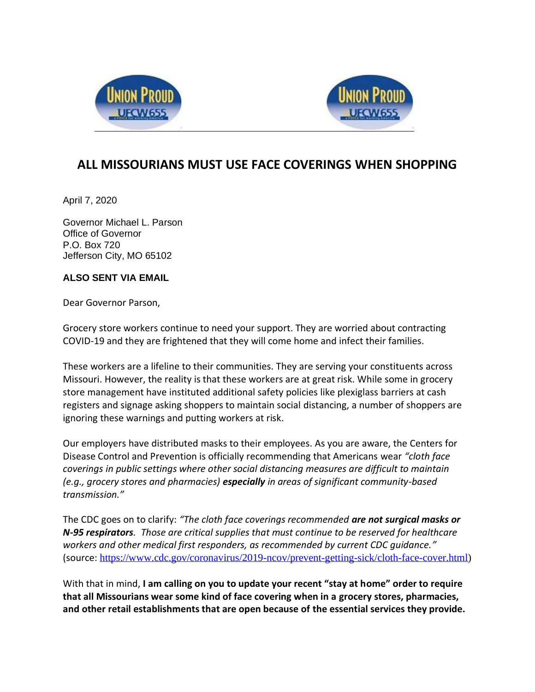



## **ALL MISSOURIANS MUST USE FACE COVERINGS WHEN SHOPPING**

April 7, 2020

Governor Michael L. Parson Office of Governor P.O. Box 720 Jefferson City, MO 65102

## **ALSO SENT VIA EMAIL**

Dear Governor Parson,

Grocery store workers continue to need your support. They are worried about contracting COVID-19 and they are frightened that they will come home and infect their families.

These workers are a lifeline to their communities. They are serving your constituents across Missouri. However, the reality is that these workers are at great risk. While some in grocery store management have instituted additional safety policies like plexiglass barriers at cash registers and signage asking shoppers to maintain social distancing, a number of shoppers are ignoring these warnings and putting workers at risk.

Our employers have distributed masks to their employees. As you are aware, the Centers for Disease Control and Prevention is officially recommending that Americans wear *"cloth face coverings in public settings where other social distancing measures are difficult to maintain (e.g., grocery stores and pharmacies) especially in areas of significant community-based transmission."*

The CDC goes on to clarify: *"The cloth face coverings recommended are not surgical masks or N-95 respirators. Those are critical supplies that must continue to be reserved for healthcare workers and other medical first responders, as recommended by current CDC guidance."* (source: [https://www.cdc.gov/coronavirus/2019-ncov/prevent-getting-sick/cloth-face-cover.html\)](https://www.cdc.gov/coronavirus/2019-ncov/prevent-getting-sick/cloth-face-cover.html)

With that in mind, **I am calling on you to update your recent "stay at home" order to require that all Missourians wear some kind of face covering when in a grocery stores, pharmacies, and other retail establishments that are open because of the essential services they provide.**